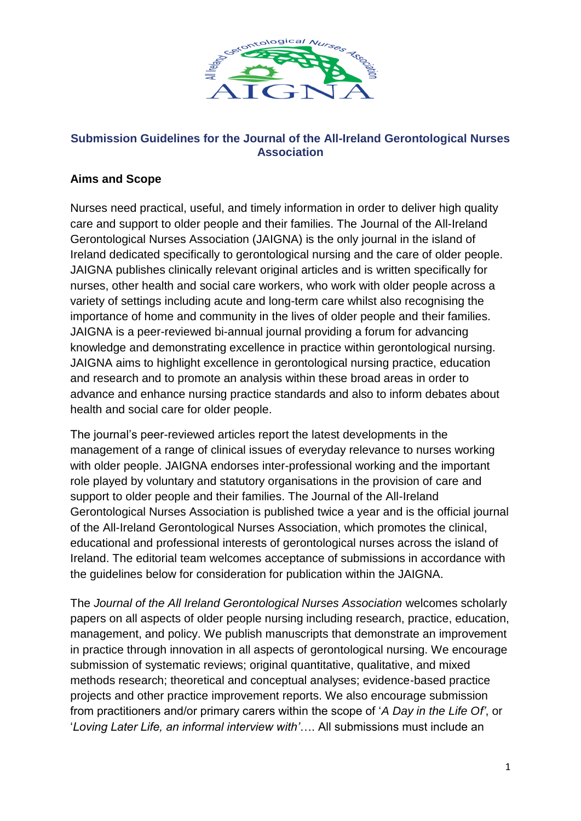

## **Submission Guidelines for the Journal of the All-Ireland Gerontological Nurses Association**

## **Aims and Scope**

Nurses need practical, useful, and timely information in order to deliver high quality care and support to older people and their families. The Journal of the All-Ireland Gerontological Nurses Association (JAIGNA) is the only journal in the island of Ireland dedicated specifically to gerontological nursing and the care of older people. JAIGNA publishes clinically relevant original articles and is written specifically for nurses, other health and social care workers, who work with older people across a variety of settings including acute and long-term care whilst also recognising the importance of home and community in the lives of older people and their families. JAIGNA is a peer-reviewed bi-annual journal providing a forum for advancing knowledge and demonstrating excellence in practice within gerontological nursing. JAIGNA aims to highlight excellence in gerontological nursing practice, education and research and to promote an analysis within these broad areas in order to advance and enhance nursing practice standards and also to inform debates about health and social care for older people.

The journal's peer-reviewed articles report the latest developments in the management of a range of clinical issues of everyday relevance to nurses working with older people. JAIGNA endorses inter-professional working and the important role played by voluntary and statutory organisations in the provision of care and support to older people and their families. The Journal of the All-Ireland Gerontological Nurses Association is published twice a year and is the official journal of the All-Ireland Gerontological Nurses Association, which promotes the clinical, educational and professional interests of gerontological nurses across the island of Ireland. The editorial team welcomes acceptance of submissions in accordance with the guidelines below for consideration for publication within the JAIGNA.

The *Journal of the All Ireland Gerontological Nurses Association* welcomes scholarly papers on all aspects of older people nursing including research, practice, education, management, and policy. We publish manuscripts that demonstrate an improvement in practice through innovation in all aspects of gerontological nursing. We encourage submission of systematic reviews; original quantitative, qualitative, and mixed methods research; theoretical and conceptual analyses; evidence-based practice projects and other practice improvement reports. We also encourage submission from practitioners and/or primary carers within the scope of '*A Day in the Life Of'*, or '*Loving Later Life, an informal interview with'*…. All submissions must include an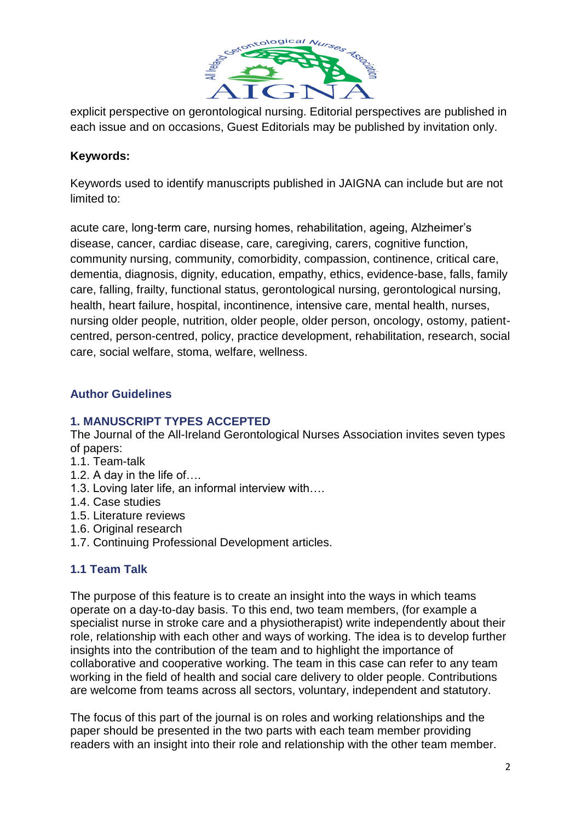

explicit perspective on gerontological nursing. Editorial perspectives are published in each issue and on occasions, Guest Editorials may be published by invitation only.

## **Keywords:**

Keywords used to identify manuscripts published in JAIGNA can include but are not limited to:

acute care, long-term care, nursing homes, rehabilitation, ageing, Alzheimer's disease, cancer, cardiac disease, care, caregiving, carers, cognitive function, community nursing, community, comorbidity, compassion, continence, critical care, dementia, diagnosis, dignity, education, empathy, ethics, evidence-base, falls, family care, falling, frailty, functional status, gerontological nursing, gerontological nursing, health, heart failure, hospital, incontinence, intensive care, mental health, nurses, nursing older people, nutrition, older people, older person, oncology, ostomy, patientcentred, person-centred, policy, practice development, rehabilitation, research, social care, social welfare, stoma, welfare, wellness.

# **Author Guidelines**

## **1. MANUSCRIPT TYPES ACCEPTED**

The Journal of the All-Ireland Gerontological Nurses Association invites seven types of papers:

- 1.1. Team-talk
- 1.2. A day in the life of….
- 1.3. Loving later life, an informal interview with….
- 1.4. Case studies
- 1.5. Literature reviews
- 1.6. Original research
- 1.7. Continuing Professional Development articles.

## **1.1 Team Talk**

The purpose of this feature is to create an insight into the ways in which teams operate on a day-to-day basis. To this end, two team members, (for example a specialist nurse in stroke care and a physiotherapist) write independently about their role, relationship with each other and ways of working. The idea is to develop further insights into the contribution of the team and to highlight the importance of collaborative and cooperative working. The team in this case can refer to any team working in the field of health and social care delivery to older people. Contributions are welcome from teams across all sectors, voluntary, independent and statutory.

The focus of this part of the journal is on roles and working relationships and the paper should be presented in the two parts with each team member providing readers with an insight into their role and relationship with the other team member.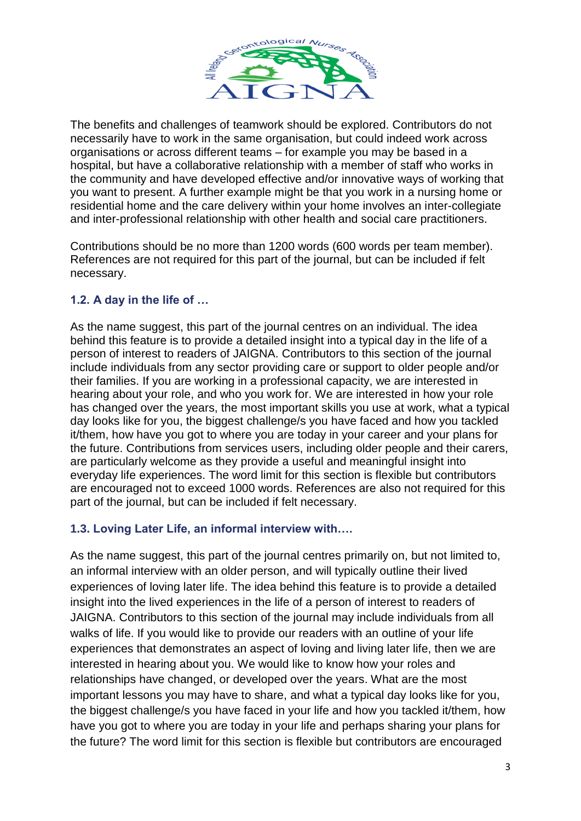

The benefits and challenges of teamwork should be explored. Contributors do not necessarily have to work in the same organisation, but could indeed work across organisations or across different teams – for example you may be based in a hospital, but have a collaborative relationship with a member of staff who works in the community and have developed effective and/or innovative ways of working that you want to present. A further example might be that you work in a nursing home or residential home and the care delivery within your home involves an inter-collegiate and inter-professional relationship with other health and social care practitioners.

Contributions should be no more than 1200 words (600 words per team member). References are not required for this part of the journal, but can be included if felt necessary.

## **1.2. A day in the life of …**

As the name suggest, this part of the journal centres on an individual. The idea behind this feature is to provide a detailed insight into a typical day in the life of a person of interest to readers of JAIGNA. Contributors to this section of the journal include individuals from any sector providing care or support to older people and/or their families. If you are working in a professional capacity, we are interested in hearing about your role, and who you work for. We are interested in how your role has changed over the years, the most important skills you use at work, what a typical day looks like for you, the biggest challenge/s you have faced and how you tackled it/them, how have you got to where you are today in your career and your plans for the future. Contributions from services users, including older people and their carers, are particularly welcome as they provide a useful and meaningful insight into everyday life experiences. The word limit for this section is flexible but contributors are encouraged not to exceed 1000 words. References are also not required for this part of the journal, but can be included if felt necessary.

## **1.3. Loving Later Life, an informal interview with….**

As the name suggest, this part of the journal centres primarily on, but not limited to, an informal interview with an older person, and will typically outline their lived experiences of loving later life. The idea behind this feature is to provide a detailed insight into the lived experiences in the life of a person of interest to readers of JAIGNA. Contributors to this section of the journal may include individuals from all walks of life. If you would like to provide our readers with an outline of your life experiences that demonstrates an aspect of loving and living later life, then we are interested in hearing about you. We would like to know how your roles and relationships have changed, or developed over the years. What are the most important lessons you may have to share, and what a typical day looks like for you, the biggest challenge/s you have faced in your life and how you tackled it/them, how have you got to where you are today in your life and perhaps sharing your plans for the future? The word limit for this section is flexible but contributors are encouraged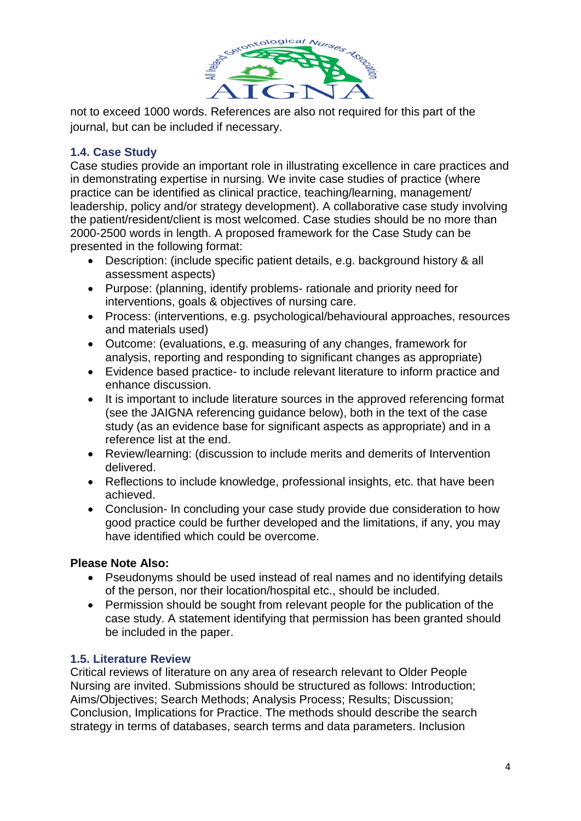

not to exceed 1000 words. References are also not required for this part of the journal, but can be included if necessary.

## **1.4. Case Study**

Case studies provide an important role in illustrating excellence in care practices and in demonstrating expertise in nursing. We invite case studies of practice (where practice can be identified as clinical practice, teaching/learning, management/ leadership, policy and/or strategy development). A collaborative case study involving the patient/resident/client is most welcomed. Case studies should be no more than 2000-2500 words in length. A proposed framework for the Case Study can be presented in the following format:

- Description: (include specific patient details, e.g. background history & all assessment aspects)
- Purpose: (planning, identify problems- rationale and priority need for interventions, goals & objectives of nursing care.
- Process: (interventions, e.g. psychological/behavioural approaches, resources and materials used)
- Outcome: (evaluations, e.g. measuring of any changes, framework for analysis, reporting and responding to significant changes as appropriate)
- Evidence based practice- to include relevant literature to inform practice and enhance discussion.
- It is important to include literature sources in the approved referencing format (see the JAIGNA referencing guidance below), both in the text of the case study (as an evidence base for significant aspects as appropriate) and in a reference list at the end.
- Review/learning: (discussion to include merits and demerits of Intervention delivered.
- Reflections to include knowledge, professional insights, etc. that have been achieved.
- Conclusion- In concluding your case study provide due consideration to how good practice could be further developed and the limitations, if any, you may have identified which could be overcome.

## **Please Note Also:**

- Pseudonyms should be used instead of real names and no identifying details of the person, nor their location/hospital etc., should be included.
- Permission should be sought from relevant people for the publication of the case study. A statement identifying that permission has been granted should be included in the paper.

## **1.5. Literature Review**

Critical reviews of literature on any area of research relevant to Older People Nursing are invited. Submissions should be structured as follows: Introduction; Aims/Objectives; Search Methods; Analysis Process; Results; Discussion; Conclusion, Implications for Practice. The methods should describe the search strategy in terms of databases, search terms and data parameters. Inclusion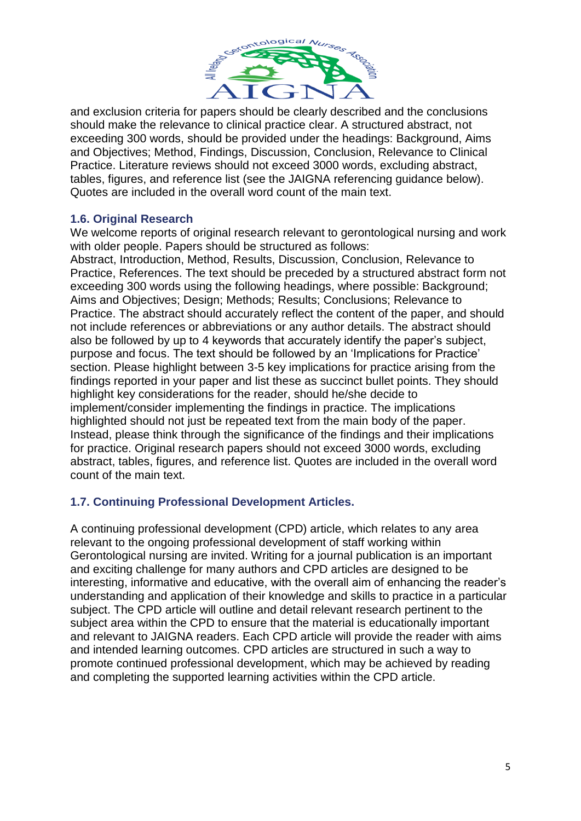

and exclusion criteria for papers should be clearly described and the conclusions should make the relevance to clinical practice clear. A structured abstract, not exceeding 300 words, should be provided under the headings: Background, Aims and Objectives; Method, Findings, Discussion, Conclusion, Relevance to Clinical Practice. Literature reviews should not exceed 3000 words, excluding abstract, tables, figures, and reference list (see the JAIGNA referencing guidance below). Quotes are included in the overall word count of the main text.

### **1.6. Original Research**

We welcome reports of original research relevant to gerontological nursing and work with older people. Papers should be structured as follows:

Abstract, Introduction, Method, Results, Discussion, Conclusion, Relevance to Practice, References. The text should be preceded by a structured abstract form not exceeding 300 words using the following headings, where possible: Background; Aims and Objectives; Design; Methods; Results; Conclusions; Relevance to Practice. The abstract should accurately reflect the content of the paper, and should not include references or abbreviations or any author details. The abstract should also be followed by up to 4 keywords that accurately identify the paper's subject, purpose and focus. The text should be followed by an 'Implications for Practice' section. Please highlight between 3-5 key implications for practice arising from the findings reported in your paper and list these as succinct bullet points. They should highlight key considerations for the reader, should he/she decide to implement/consider implementing the findings in practice. The implications highlighted should not just be repeated text from the main body of the paper. Instead, please think through the significance of the findings and their implications for practice. Original research papers should not exceed 3000 words, excluding abstract, tables, figures, and reference list. Quotes are included in the overall word count of the main text.

## **1.7. Continuing Professional Development Articles.**

A continuing professional development (CPD) article, which relates to any area relevant to the ongoing professional development of staff working within Gerontological nursing are invited. Writing for a journal publication is an important and exciting challenge for many authors and CPD articles are designed to be interesting, informative and educative, with the overall aim of enhancing the reader's understanding and application of their knowledge and skills to practice in a particular subject. The CPD article will outline and detail relevant research pertinent to the subject area within the CPD to ensure that the material is educationally important and relevant to JAIGNA readers. Each CPD article will provide the reader with aims and intended learning outcomes. CPD articles are structured in such a way to promote continued professional development, which may be achieved by reading and completing the supported learning activities within the CPD article.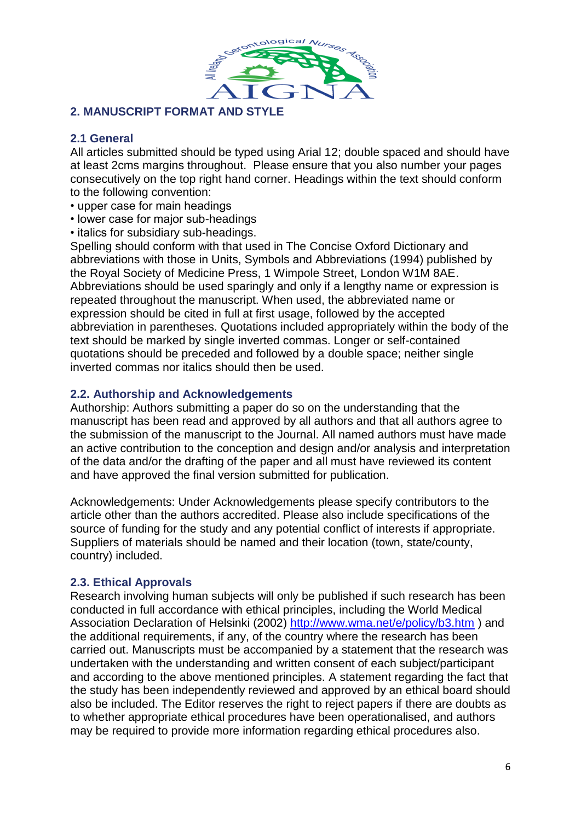

## **2. MANUSCRIPT FORMAT AND STYLE**

### **2.1 General**

All articles submitted should be typed using Arial 12; double spaced and should have at least 2cms margins throughout. Please ensure that you also number your pages consecutively on the top right hand corner. Headings within the text should conform to the following convention:

- upper case for main headings
- lower case for major sub-headings
- italics for subsidiary sub-headings.

Spelling should conform with that used in The Concise Oxford Dictionary and abbreviations with those in Units, Symbols and Abbreviations (1994) published by the Royal Society of Medicine Press, 1 Wimpole Street, London W1M 8AE. Abbreviations should be used sparingly and only if a lengthy name or expression is repeated throughout the manuscript. When used, the abbreviated name or expression should be cited in full at first usage, followed by the accepted abbreviation in parentheses. Quotations included appropriately within the body of the text should be marked by single inverted commas. Longer or self-contained quotations should be preceded and followed by a double space; neither single inverted commas nor italics should then be used.

#### **2.2. Authorship and Acknowledgements**

Authorship: Authors submitting a paper do so on the understanding that the manuscript has been read and approved by all authors and that all authors agree to the submission of the manuscript to the Journal. All named authors must have made an active contribution to the conception and design and/or analysis and interpretation of the data and/or the drafting of the paper and all must have reviewed its content and have approved the final version submitted for publication.

Acknowledgements: Under Acknowledgements please specify contributors to the article other than the authors accredited. Please also include specifications of the source of funding for the study and any potential conflict of interests if appropriate. Suppliers of materials should be named and their location (town, state/county, country) included.

#### **2.3. Ethical Approvals**

Research involving human subjects will only be published if such research has been conducted in full accordance with ethical principles, including the World Medical Association Declaration of Helsinki (2002) <http://www.wma.net/e/policy/b3.htm> ) and the additional requirements, if any, of the country where the research has been carried out. Manuscripts must be accompanied by a statement that the research was undertaken with the understanding and written consent of each subject/participant and according to the above mentioned principles. A statement regarding the fact that the study has been independently reviewed and approved by an ethical board should also be included. The Editor reserves the right to reject papers if there are doubts as to whether appropriate ethical procedures have been operationalised, and authors may be required to provide more information regarding ethical procedures also.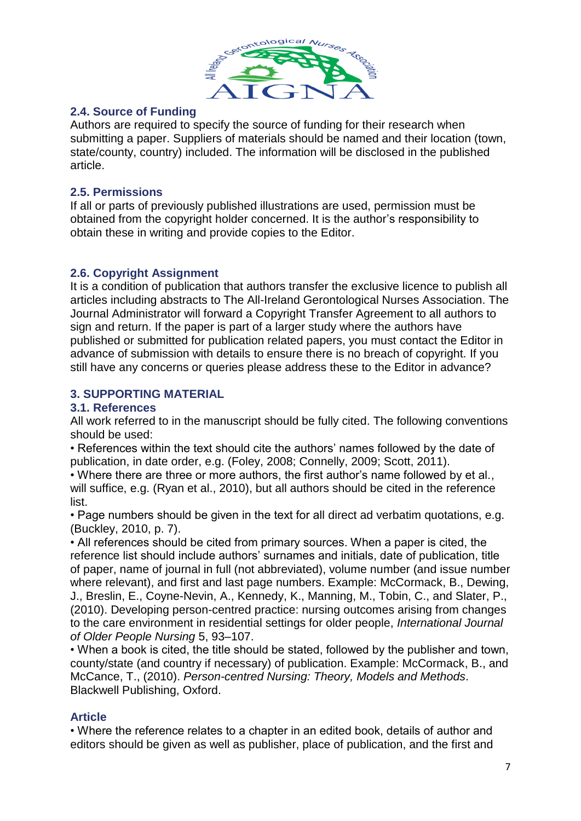

### **2.4. Source of Funding**

Authors are required to specify the source of funding for their research when submitting a paper. Suppliers of materials should be named and their location (town, state/county, country) included. The information will be disclosed in the published article.

### **2.5. Permissions**

If all or parts of previously published illustrations are used, permission must be obtained from the copyright holder concerned. It is the author's responsibility to obtain these in writing and provide copies to the Editor.

### **2.6. Copyright Assignment**

It is a condition of publication that authors transfer the exclusive licence to publish all articles including abstracts to The All-Ireland Gerontological Nurses Association. The Journal Administrator will forward a Copyright Transfer Agreement to all authors to sign and return. If the paper is part of a larger study where the authors have published or submitted for publication related papers, you must contact the Editor in advance of submission with details to ensure there is no breach of copyright. If you still have any concerns or queries please address these to the Editor in advance?

### **3. SUPPORTING MATERIAL**

#### **3.1. References**

All work referred to in the manuscript should be fully cited. The following conventions should be used:

• References within the text should cite the authors' names followed by the date of publication, in date order, e.g. (Foley, 2008; Connelly, 2009; Scott, 2011).

• Where there are three or more authors, the first author's name followed by et al., will suffice, e.g. (Ryan et al., 2010), but all authors should be cited in the reference list.

• Page numbers should be given in the text for all direct ad verbatim quotations, e.g. (Buckley, 2010, p. 7).

• All references should be cited from primary sources. When a paper is cited, the reference list should include authors' surnames and initials, date of publication, title of paper, name of journal in full (not abbreviated), volume number (and issue number where relevant), and first and last page numbers. Example: McCormack, B., Dewing, J., Breslin, E., Coyne-Nevin, A., Kennedy, K., Manning, M., Tobin, C., and Slater, P., (2010). Developing person-centred practice: nursing outcomes arising from changes to the care environment in residential settings for older people, *International Journal of Older People Nursing* 5, 93–107.

• When a book is cited, the title should be stated, followed by the publisher and town, county/state (and country if necessary) of publication. Example: McCormack, B., and McCance, T., (2010). *Person-centred Nursing: Theory, Models and Methods*. Blackwell Publishing, Oxford.

## **Article**

• Where the reference relates to a chapter in an edited book, details of author and editors should be given as well as publisher, place of publication, and the first and